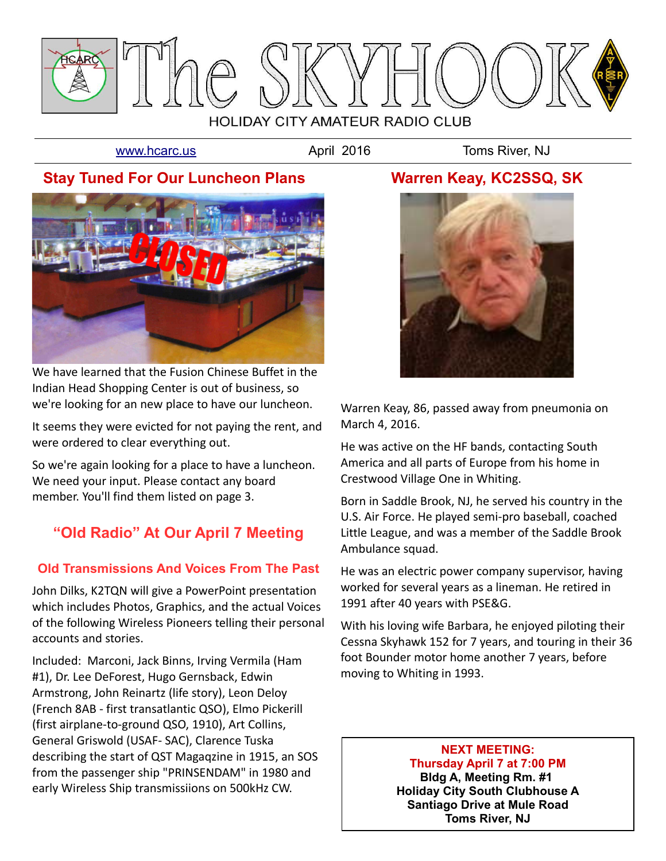

[www.hcarc.us](http://www.hcarc.us/) **April 2016** Toms River, NJ

# **Stay Tuned For Our Luncheon Plans**



We have learned that the Fusion Chinese Buffet in the Indian Head Shopping Center is out of business, so we're looking for an new place to have our luncheon.

It seems they were evicted for not paying the rent, and were ordered to clear everything out.

So we're again looking for a place to have a luncheon. We need your input. Please contact any board member. You'll find them listed on page 3.

# **"Old Radio" At Our April 7 Meeting**

## **Old Transmissions And Voices From The Past**

John Dilks, K2TQN will give a PowerPoint presentation which includes Photos, Graphics, and the actual Voices of the following Wireless Pioneers telling their personal accounts and stories.

Included: Marconi, Jack Binns, Irving Vermila (Ham #1), Dr. Lee DeForest, Hugo Gernsback, Edwin Armstrong, John Reinartz (life story), Leon Deloy (French 8AB - first transatlantic QSO), Elmo Pickerill (first airplane-to-ground QSO, 1910), Art Collins, General Griswold (USAF- SAC), Clarence Tuska describing the start of QST Magaqzine in 1915, an SOS from the passenger ship "PRINSENDAM" in 1980 and early Wireless Ship transmissiions on 500kHz CW.

# **Warren Keay, KC2SSQ, SK**



Warren Keay, 86, passed away from pneumonia on March 4, 2016.

He was active on the HF bands, contacting South America and all parts of Europe from his home in Crestwood Village One in Whiting.

Born in Saddle Brook, NJ, he served his country in the U.S. Air Force. He played semi-pro baseball, coached Little League, and was a member of the Saddle Brook Ambulance squad.

He was an electric power company supervisor, having worked for several years as a lineman. He retired in 1991 after 40 years with PSE&G.

With his loving wife Barbara, he enjoyed piloting their Cessna Skyhawk 152 for 7 years, and touring in their 36 foot Bounder motor home another 7 years, before moving to Whiting in 1993.

> **NEXT MEETING: Thursday April 7 at 7:00 PM Bldg A, Meeting Rm. #1 Holiday City South Clubhouse A Santiago Drive at Mule Road Toms River, NJ**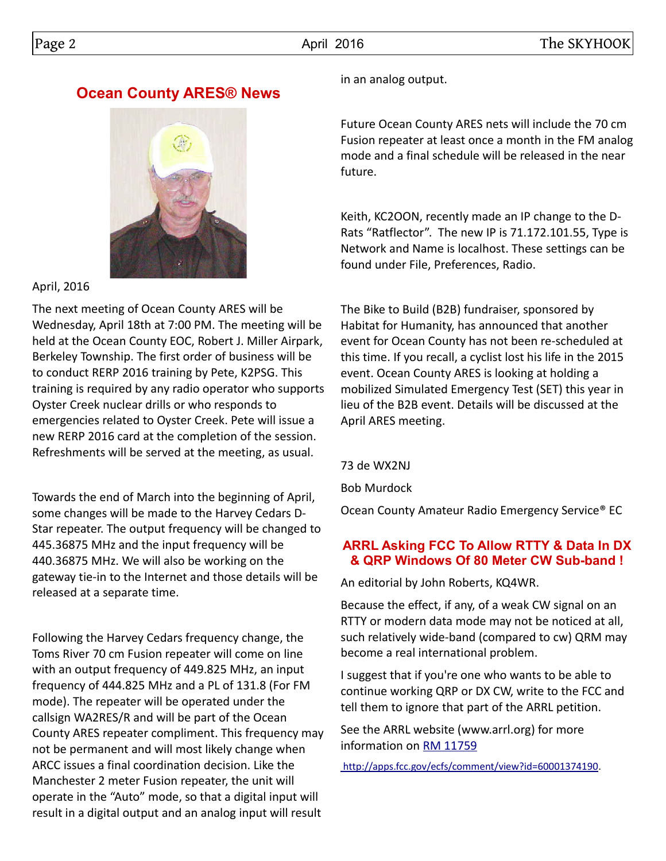# **Ocean County ARES® News**



### April, 2016

The next meeting of Ocean County ARES will be Wednesday, April 18th at 7:00 PM. The meeting will be held at the Ocean County EOC, Robert J. Miller Airpark, Berkeley Township. The first order of business will be to conduct RERP 2016 training by Pete, K2PSG. This training is required by any radio operator who supports Oyster Creek nuclear drills or who responds to emergencies related to Oyster Creek. Pete will issue a new RERP 2016 card at the completion of the session. Refreshments will be served at the meeting, as usual.

Towards the end of March into the beginning of April, some changes will be made to the Harvey Cedars D-Star repeater. The output frequency will be changed to 445.36875 MHz and the input frequency will be 440.36875 MHz. We will also be working on the gateway tie-in to the Internet and those details will be released at a separate time.

Following the Harvey Cedars frequency change, the Toms River 70 cm Fusion repeater will come on line with an output frequency of 449.825 MHz, an input frequency of 444.825 MHz and a PL of 131.8 (For FM mode). The repeater will be operated under the callsign WA2RES/R and will be part of the Ocean County ARES repeater compliment. This frequency may not be permanent and will most likely change when ARCC issues a final coordination decision. Like the Manchester 2 meter Fusion repeater, the unit will operate in the "Auto" mode, so that a digital input will result in a digital output and an analog input will result

in an analog output.

Future Ocean County ARES nets will include the 70 cm Fusion repeater at least once a month in the FM analog mode and a final schedule will be released in the near future.

Keith, KC2OON, recently made an IP change to the D-Rats "Ratflector". The new IP is 71.172.101.55, Type is Network and Name is localhost. These settings can be found under File, Preferences, Radio.

The Bike to Build (B2B) fundraiser, sponsored by Habitat for Humanity, has announced that another event for Ocean County has not been re-scheduled at this time. If you recall, a cyclist lost his life in the 2015 event. Ocean County ARES is looking at holding a mobilized Simulated Emergency Test (SET) this year in lieu of the B2B event. Details will be discussed at the April ARES meeting.

73 de WX2NJ

Bob Murdock

Ocean County Amateur Radio Emergency Service® EC

### **ARRL Asking FCC To Allow RTTY & Data In DX & QRP Windows Of 80 Meter CW Sub-band !**

An editorial by John Roberts, KQ4WR.

Because the effect, if any, of a weak CW signal on an RTTY or modern data mode may not be noticed at all, such relatively wide-band (compared to cw) QRM may become a real international problem.

I suggest that if you're one who wants to be able to continue working QRP or DX CW, write to the FCC and tell them to ignore that part of the ARRL petition.

See the ARRL website (www.arrl.org) for more information on [RM 11759](http://apps.fcc.gov/ecfs/comment/view?id=60001374190)

 [http://apps.fcc.gov/ecfs/comment/view?id=60001374190.](http://apps.fcc.gov/ecfs/comment/view?id=60001374190)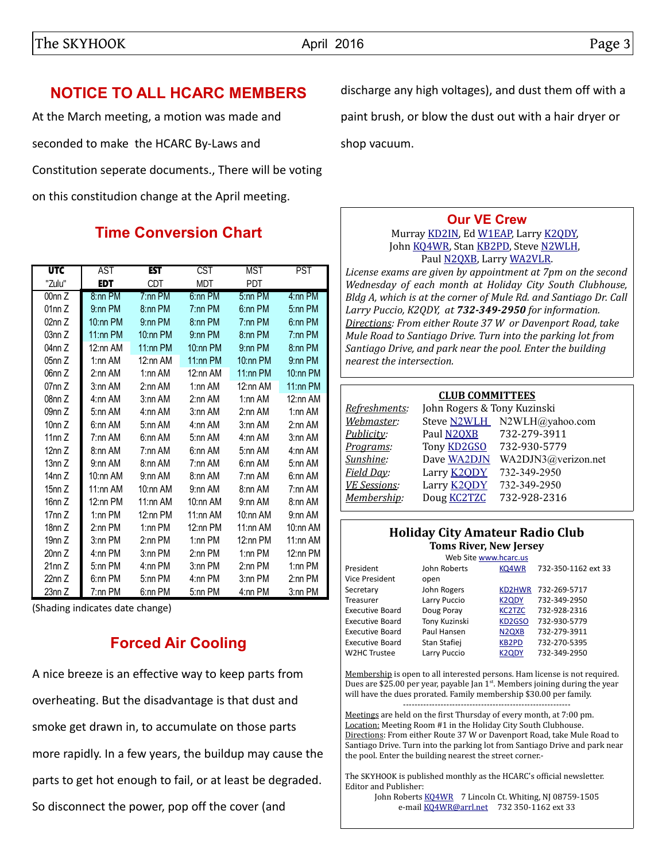# **NOTICE TO ALL HCARC MEMBERS**

At the March meeting, a motion was made and seconded to make the HCARC By-Laws and Constitution seperate documents., There will be voting on this constitudion change at the April meeting.

# **Time Conversion Chart**

| <b>UTC</b> | AST         | <b>EST</b>  | CST         | MST        | PST         |
|------------|-------------|-------------|-------------|------------|-------------|
| "Zulu"     | <b>EDT</b>  | CDT         | MDT         | <b>PDT</b> |             |
| 00nn Z     | 8:nn PM     | $7:nn$ PM   | 6:nn PM     | 5:nn PM    | 4:nn PM     |
| 01nn Z     | 9:nn PM     | 8:nn PM     | $7:nn$ PM   | 6:nn PM    | 5:nn PM     |
| 02nn Z     | $10:$ nn PM | $9:nn$ PM   | 8:nn PM     | $7:nn$ PM  | 6:nn PM     |
| 03nn Z     | $11:nn$ PM  | $10:$ nn PM | 9:nn PM     | 8:nn PM    | $7:nn$ PM   |
| 04nn Z     | $12:$ nn AM | 11:nn PM    | $10:nn$ PM  | $9:nn$ PM  | 8:nn PM     |
| 05nn Z     | 1:nn AM     | $12:$ nn AM | $11:nn$ PM  | $10:nn$ PM | $9:nn$ PM   |
| 06nn Z     | 2:nn AM     | $1:$ nn AM  | 12:nn AM    | $11:nn$ PM | $10:$ nn PM |
| 07nn Z     | $3:$ nn AM  | $2:$ nn AM  | $1:$ nn AM  | 12:nn AM   | $11:$ nn PM |
| 08nn Z     | 4:nn AM     | 3:nn AM     | 2:nn AM     | 1:nn AM    | 12:nn AM    |
| 09nn Z     | 5:nn AM     | 4:nn AM     | 3:nn AM     | 2:nn AM    | 1:nn AM     |
| 10 $nnZ$   | 6:nn AM     | 5:nn AM     | 4:nn AM     | 3:nn AM    | 2:nn AM     |
| 11nn Z     | 7:nn AM     | 6:nn AM     | 5:nn AM     | 4:nn AM    | $3:nn$ AM   |
| 12nn Z     | 8:nn AM     | 7:nn AM     | 6:nn AM     | 5:nn AM    | 4:nn AM     |
| 13nn Z     | 9:nn AM     | 8:nn AM     | 7:nn AM     | 6:nn AM    | 5:nn AM     |
| 14nn Z     | 10:nn AM    | 9:nn AM     | 8:nn AM     | 7:nn AM    | 6:nn AM     |
| 15nn Z     | 11:nn AM    | $10:$ nn AM | 9:nn AM     | 8:nn AM    | 7:nn AM     |
| 16nn Z     | $12:$ nn PM | $11:$ nn AM | $10:$ nn AM | 9:nn AM    | 8:nn AM     |
| 17nn Z     | $1:nn$ PM   | $12:nn$ PM  | 11:nn AM    | 10:nn AM   | 9:nn AM     |
| 18nn Z     | $2:$ nn PM  | $1:$ nn PM  | $12:nn$ PM  | 11:nn AM   | 10:nn AM    |
| 19nn Z     | $3:$ nn PM  | $2:$ nn PM  | $1:nn$ PM   | $12:nn$ PM | 11:nn AM    |
| 20nn Z     | 4:nn PM     | 3:nn PM     | $2:nn$ PM   | $1:nn$ PM  | $12:$ nn PM |
| 21nnZ      | 5:nn PM     | 4:nn PM     | 3:nn PM     | 2:nn PM    | 1:nn PM     |
| 22nn Z     | 6:nn PM     | 5:nn PM     | 4:nn PM     | 3:nn PM    | $2:nn$ PM   |
| 23nn Z     | 7:nn PM     | 6:nn PM     | 5:nn PM     | 4:nn PM    | 3:nn PM     |

(Shading indicates date change)

# **Forced Air Cooling**

A nice breeze is an effective way to keep parts from overheating. But the disadvantage is that dust and smoke get drawn in, to accumulate on those parts more rapidly. In a few years, the buildup may cause the parts to get hot enough to fail, or at least be degraded. So disconnect the power, pop off the cover (and

discharge any high voltages), and dust them off with a paint brush, or blow the dust out with a hair dryer or shop vacuum.

## **[Our VE Crew](mailto:lpuccio1@comcast.net?subject=VE)**

Murray [KD2IN,](mailto:MurrayKD2IN@comcast.net) Ed [W1EAP,](mailto:epicciuti@hotmail.com) Larry [K2QDY,](mailto:lpuccio1@comcast.net) John [KQ4WR,](mailto:kq4wr@arrl.net) Stan [KB2PD,](mailto:kb2pd@hotmail.com) Steve [N2WLH,](mailto:n2wlh@yahoo.com) Paul [N2QXB,](mailto:n2qxb@juno.com) Larry [WA2VLR.](mailto:lloscalz@optonline.net)

*License exams are given by appointment at 7pm on the second Wednesday of each month at Holiday City South Clubhouse, Bldg A, which is at the corner of Mule Rd. and Santiago Dr. Call Larry Puccio, K2QDY, at 732-349-2950 for information. Directions: From either Route 37 W or Davenport Road, take Mule Road to Santiago Drive. Turn into the parking lot from Santiago Drive, and park near the pool. Enter the building nearest the intersection.*

#### **CLUB COMMITTEES**

| Refreshments:       | John Rogers & Tony Kuzinski |                             |
|---------------------|-----------------------------|-----------------------------|
| Webmaster:          |                             | Steve N2WLH N2WLH@yahoo.com |
| Publicity:          | Paul N2QXB                  | 732-279-3911                |
| Programs:           | Tony <b>KD2GSO</b>          | 732-930-5779                |
| Sunshine:           | Dave WA2DJN                 | WA2DJN3@verizon.net         |
| Field Day:          | Larry <b>K2QDY</b>          | 732-349-2950                |
| <b>VE Sessions:</b> | Larry <b>K2ODY</b>          | 732-349-2950                |
| Membership:         | Doug <b>KC2TZC</b>          | 732-928-2316                |
|                     |                             |                             |

#### **Holiday City Amateur Radio Club Toms River, New Jersey**

|                        |               | Web Site www.hcarc.us          |                     |
|------------------------|---------------|--------------------------------|---------------------|
| President              | John Roberts  | KQ4WR                          | 732-350-1162 ext 33 |
| Vice President         | open          |                                |                     |
| Secretary              | John Rogers   | KD2HWR                         | 732-269-5717        |
| Treasurer              | Larry Puccio  | <b>K2QDY</b>                   | 732-349-2950        |
| <b>Executive Board</b> | Doug Poray    | <b>KC2TZC</b>                  | 732-928-2316        |
| <b>Executive Board</b> | Tony Kuzinski | KD <sub>2</sub> GSO            | 732-930-5779        |
| <b>Executive Board</b> | Paul Hansen   | N <sub>2Q</sub> X <sub>B</sub> | 732-279-3911        |
| <b>Executive Board</b> | Stan Stafiej  | <b>KB2PD</b>                   | 732-270-5395        |
| W2HC Trustee           | Larry Puccio  | K2QDY                          | 732-349-2950        |
|                        |               |                                |                     |

Membership is open to all interested persons. Ham license is not required. Dues are \$25.00 per year, payable Jan 1<sup>st</sup>. Members joining during the year will have the dues prorated. Family membership \$30.00 per family.

---------------------------------------------------------- Meetings are held on the first Thursday of every month, at 7:00 pm. Location: Meeting Room #1 in the Holiday City South Clubhouse. Directions: From either Route 37 W or Davenport Road, take Mule Road to Santiago Drive. Turn into the parking lot from Santiago Drive and park near the pool. Enter the building nearest the street corner.-

The SKYHOOK is published monthly as the HCARC's official newsletter. Editor and Publisher:

John Roberts [KQ4WR](mailto:kq4wr@arrl.net) 7 Lincoln Ct. Whiting, NJ 08759-1505 e-mail [KQ4WR@arrl.net](mailto:KQ4WR@arrl.net) 732 350-1162 ext 33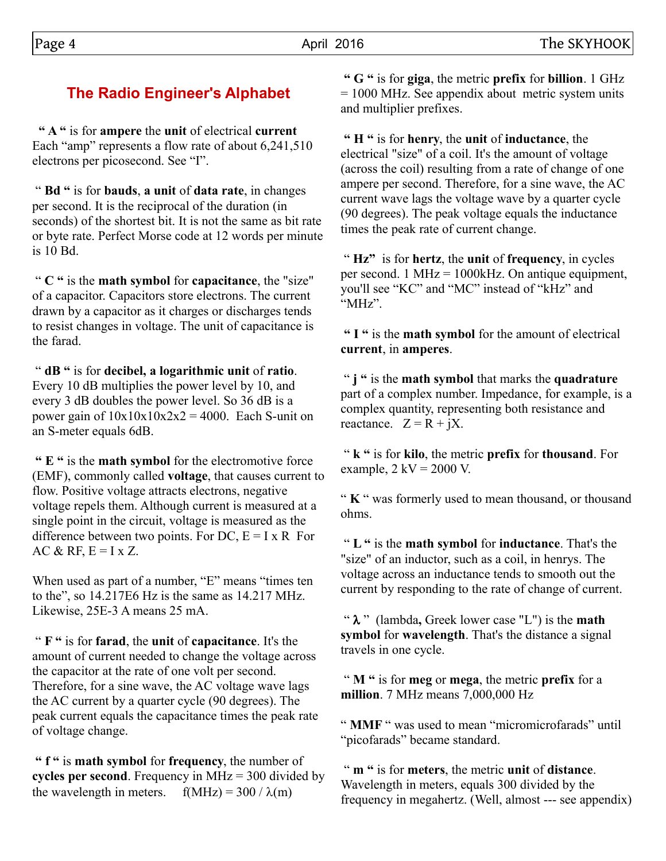# **The Radio Engineer's Alphabet**

 **" A "** is for **ampere** the **unit** of electrical **current** Each "amp" represents a flow rate of about 6,241,510 electrons per picosecond. See "I".

 " **Bd "** is for **bauds**, **a unit** of **data rate**, in changes per second. It is the reciprocal of the duration (in seconds) of the shortest bit. It is not the same as bit rate or byte rate. Perfect Morse code at 12 words per minute is 10 Bd.

 " **C "** is the **math symbol** for **capacitance**, the "size" of a capacitor. Capacitors store electrons. The current drawn by a capacitor as it charges or discharges tends to resist changes in voltage. The unit of capacitance is the farad.

 " **dB "** is for **decibel, a logarithmic unit** of **ratio**. Every 10 dB multiplies the power level by 10, and every 3 dB doubles the power level. So 36 dB is a power gain of  $10x10x10x2x2 = 4000$ . Each S-unit on an S-meter equals 6dB.

 **" E "** is the **math symbol** for the electromotive force (EMF), commonly called **voltage**, that causes current to flow. Positive voltage attracts electrons, negative voltage repels them. Although current is measured at a single point in the circuit, voltage is measured as the difference between two points. For DC,  $E = I \times R$  For AC & RF,  $E = I x Z$ .

When used as part of a number, "E" means "times ten to the", so 14.217E6 Hz is the same as 14.217 MHz. Likewise, 25E-3 A means 25 mA.

 " **F "** is for **farad**, the **unit** of **capacitance**. It's the amount of current needed to change the voltage across the capacitor at the rate of one volt per second. Therefore, for a sine wave, the AC voltage wave lags the AC current by a quarter cycle (90 degrees). The peak current equals the capacitance times the peak rate of voltage change.

 **" f "** is **math symbol** for **frequency**, the number of **cycles per second**. Frequency in MHz = 300 divided by the wavelength in meters.  $f(MHz) = 300 / \lambda(m)$ 

 **" G "** is for **giga**, the metric **prefix** for **billion**. 1 GHz = 1000 MHz. See appendix about metric system units and multiplier prefixes.

 **" H "** is for **henry**, the **unit** of **inductance**, the electrical "size" of a coil. It's the amount of voltage (across the coil) resulting from a rate of change of one ampere per second. Therefore, for a sine wave, the AC current wave lags the voltage wave by a quarter cycle (90 degrees). The peak voltage equals the inductance times the peak rate of current change.

 " **Hz"** is for **hertz**, the **unit** of **frequency**, in cycles per second. 1 MHz = 1000kHz. On antique equipment, you'll see "KC" and "MC" instead of "kHz" and "MHz".

 **" I "** is the **math symbol** for the amount of electrical **current**, in **amperes**.

 " **j "** is the **math symbol** that marks the **quadrature** part of a complex number. Impedance, for example, is a complex quantity, representing both resistance and reactance.  $Z = R + iX$ .

 " **k "** is for **kilo**, the metric **prefix** for **thousand**. For example,  $2$  kV = 2000 V.

" **K** " was formerly used to mean thousand, or thousand ohms.

 " **L "** is the **math symbol** for **inductance**. That's the "size" of an inductor, such as a coil, in henrys. The voltage across an inductance tends to smooth out the current by responding to the rate of change of current.

" $\lambda$ " (lambda, Greek lower case "L") is the **math symbol** for **wavelength**. That's the distance a signal travels in one cycle.

 " **M "** is for **meg** or **mega**, the metric **prefix** for a **million**. 7 MHz means 7,000,000 Hz

" **MMF** " was used to mean "micromicrofarads" until "picofarads" became standard.

 " **m "** is for **meters**, the metric **unit** of **distance**. Wavelength in meters, equals 300 divided by the frequency in megahertz. (Well, almost --- see appendix)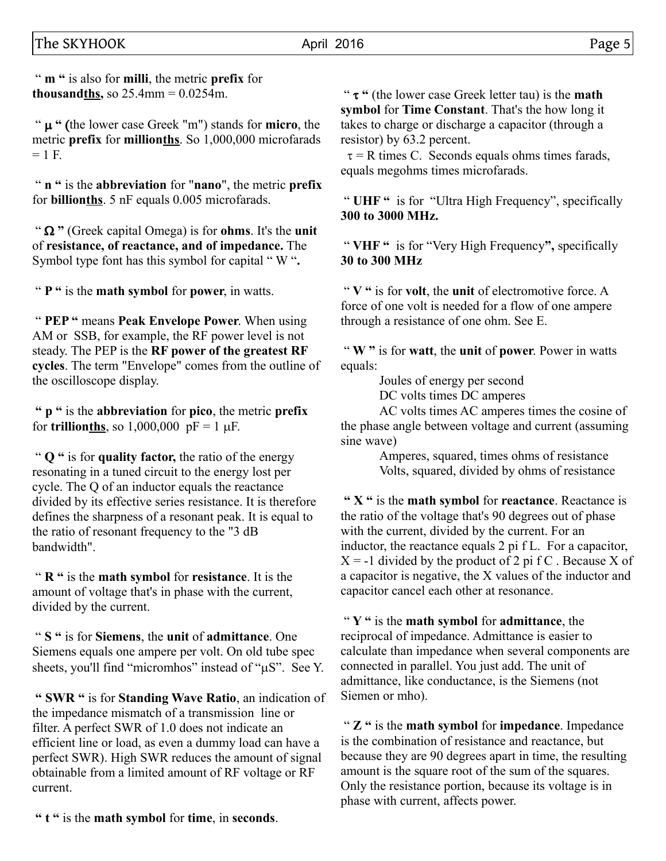" **m "** is also for **milli**, the metric **prefix** for **thousandths,** so  $25.4$ mm =  $0.0254$ m.

"  $\mu$  " (the lower case Greek "m") stands for **micro**, the metric **prefix** for **millionths**. So 1,000,000 microfarads  $= 1$  F.

 " **n "** is the **abbreviation** for "**nano**", the metric **prefix** for **billionths**. 5 nF equals 0.005 microfarads.

" $\Omega$ " (Greek capital Omega) is for **ohms**. It's the **unit** of **resistance, of reactance, and of impedance.** The Symbol type font has this symbol for capital " W "**.**

" **P "** is the **math symbol** for **power**, in watts.

 " **PEP "** means **Peak Envelope Power**. When using AM or SSB, for example, the RF power level is not steady. The PEP is the **RF power of the greatest RF cycles**. The term "Envelope" comes from the outline of the oscilloscope display.

 **" p "** is the **abbreviation** for **pico**, the metric **prefix** for **trillion<u>ths</u>**, so 1,000,000  $pF = 1 \mu F$ .

 " **Q "** is for **quality factor,** the ratio of the energy resonating in a tuned circuit to the energy lost per cycle. The Q of an inductor equals the reactance divided by its effective series resistance. It is therefore defines the sharpness of a resonant peak. It is equal to the ratio of resonant frequency to the "3 dB bandwidth".

 " **R "** is the **math symbol** for **resistance**. It is the amount of voltage that's in phase with the current, divided by the current.

 " **S "** is for **Siemens**, the **unit** of **admittance**. One Siemens equals one ampere per volt. On old tube spec sheets, you'll find "micromhos" instead of "uS". See Y.

 **" SWR "** is for **Standing Wave Ratio**, an indication of the impedance mismatch of a transmission line or filter. A perfect SWR of 1.0 does not indicate an efficient line or load, as even a dummy load can have a perfect SWR). High SWR reduces the amount of signal obtainable from a limited amount of RF voltage or RF current.

 **" t "** is the **math symbol** for **time**, in **seconds**.

 " t **"** (the lower case Greek letter tau) is the **math symbol** for **Time Constant**. That's the how long it takes to charge or discharge a capacitor (through a resistor) by 63.2 percent.

 $\tau = R$  times C. Seconds equals ohms times farads, equals megohms times microfarads.

 " **UHF "** is for "Ultra High Frequency", specifically **300 to 3000 MHz.**

 " **VHF "** is for "Very High Frequency**",** specifically **30 to 300 MHz**

 " **V "** is for **volt**, the **unit** of electromotive force. A force of one volt is needed for a flow of one ampere through a resistance of one ohm. See E.

 " **W "** is for **watt**, the **unit** of **power**. Power in watts equals:

Joules of energy per second

DC volts times DC amperes

AC volts times AC amperes times the cosine of the phase angle between voltage and current (assuming sine wave)

> Amperes, squared, times ohms of resistance Volts, squared, divided by ohms of resistance

 **" X "** is the **math symbol** for **reactance**. Reactance is the ratio of the voltage that's 90 degrees out of phase with the current, divided by the current. For an inductor, the reactance equals 2 pi f L. For a capacitor,  $X = -1$  divided by the product of 2 pi f C. Because X of a capacitor is negative, the X values of the inductor and capacitor cancel each other at resonance.

 " **Y "** is the **math symbol** for **admittance**, the reciprocal of impedance. Admittance is easier to calculate than impedance when several components are connected in parallel. You just add. The unit of admittance, like conductance, is the Siemens (not Siemen or mho).

 " **Z "** is the **math symbol** for **impedance**. Impedance is the combination of resistance and reactance, but because they are 90 degrees apart in time, the resulting amount is the square root of the sum of the squares. Only the resistance portion, because its voltage is in phase with current, affects power.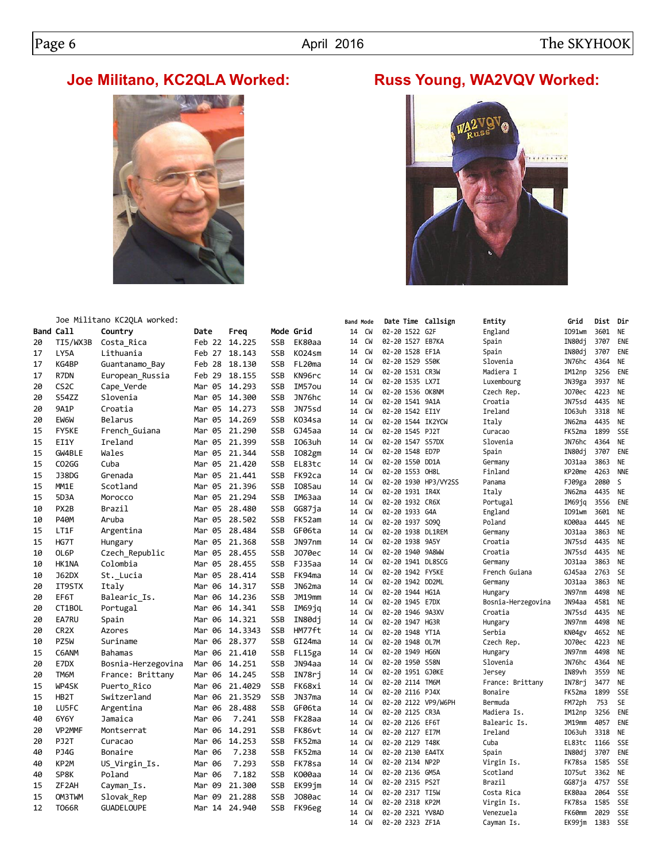# **Joe Militano, KC2QLA Worked: Russ Young, WA2VQV Worked:**



Joe Militano KC2QLA worked:



|           | Joe Militano KC2QLA worked: |                    |               |         |            |               | Band Mode |                 | Date Time Callsign                   |       | Entity                        | Grid             | Dist         | Dir                    |
|-----------|-----------------------------|--------------------|---------------|---------|------------|---------------|-----------|-----------------|--------------------------------------|-------|-------------------------------|------------------|--------------|------------------------|
| Band Call |                             | Country            | Date          | Freq    | Mode Grid  |               | 14        | CW              | 02-20 1522 G2F                       |       | England                       | I091wm           | 3601         | <b>NE</b>              |
| 20        | TI5/WX3B                    | Costa Rica         | Feb 22        | 14.225  | <b>SSB</b> | EK80aa        | 14        | CW              | 02-20 1527 EB7KA                     |       | Spain                         | IN80dj           | 3707         | ENE                    |
| 17        | LY5A                        | Lithuania          | Feb 27        | 18.143  | <b>SSB</b> | K024sm        | 14        | CW              | 02-20 1528 EF1A                      |       | Spain                         | IN80dj           | 3707         | ENE                    |
| 17        | KG4BP                       | Guantanamo Bay     | Feb 28        | 18.130  | <b>SSB</b> | FL20ma        | 14        | CW              | 02-20 1529 S50K                      |       | Slovenia                      | JN76hc           | 4364         | NE                     |
| 17        | R7DN                        | European Russia    | Feb 29        | 18.155  | SSB        | KN96rc        | 14        | CW              | 02-20 1531 CR3W                      |       | Madiera I                     | IM12np           | 3256         | ENE                    |
| 20        | CS <sub>2</sub> C           | Cape_Verde         | Mar 05        | 14.293  | SSB        | IM57ou        | 14        | <b>CW</b>       | 02-20 1535 LX7I                      |       | Luxembourg                    | JN39ga           | 3937         | <b>NE</b>              |
| 20        | <b>S54ZZ</b>                | Slovenia           | Mar 05        | 14.300  | <b>SSB</b> | JN76hc        | 14        | CW              | 02-20 1536 OK8NM                     |       | Czech Rep.                    | J070ec           | 4223         | <b>NE</b>              |
| 20        | 9A1P                        | Croatia            | Mar 05        | 14.273  | <b>SSB</b> | JN75sd        | 14        | <b>CW</b>       | 02-20 1541 9A1A                      |       | Croatia                       | JN75sd           | 4435         | <b>NE</b>              |
| 20        | EW6W                        | Belarus            | Mar 05 14.269 |         | SSB        | K034sa        | 14<br>14  | CW<br>CW        | 02-20 1542 EI1Y<br>02-20 1544 IK2YCW |       | Ireland<br>Italy              | I063uh<br>JN62ma | 3318<br>4435 | <b>NE</b><br><b>NE</b> |
| 15        | <b>FY5KE</b>                | French Guiana      | Mar 05        | 21.290  | SSB        | GJ45aa        | 14        | <b>CW</b>       | 02-20 1545 PJ2T                      |       | Curacao                       | FK52ma           | 1899         | <b>SSE</b>             |
| 15        | EI1Y                        | Ireland            | Mar 05 21.399 |         | <b>SSB</b> | I063uh        | 14        | <b>CW</b>       | 02-20 1547 S57DX                     |       | Slovenia                      | JN76hc           | 4364         | <b>NE</b>              |
| 15        | GW4BLE                      | Wales              | Mar 05        | 21.344  | <b>SSB</b> | I082gm        | 14        | <b>CW</b>       | 02-20 1548                           | ED7P  | Spain                         | IN80dj           | 3707         | ENE                    |
| 15        | CO <sub>2</sub> GG          | Cuba               | Mar 05        | 21,420  | <b>SSB</b> | EL83tc        | 14        | CW              | 02-20 1550 DD1A                      |       | Germany                       | J031aa           | 3863         | <b>NE</b>              |
| 15        | J38DG                       | Grenada            | Mar 05        | 21.441  | SSB        | FK92ca        | 14        | CW              | 02-20 1553 OH8L                      |       | Finland                       | KP20me           | 4263         | <b>NNE</b>             |
| 15        | MM1E                        | Scotland           | Mar 05        | 21.396  | <b>SSB</b> | <b>I085au</b> | 14        | CW              | 02-20 1930 HP3/VY2SS                 |       | Panama                        | FJ09ga           | 2080         | S                      |
|           |                             |                    |               |         |            |               | 14        | <b>CW</b>       | 02-20 1931 IR4X                      |       | Italy                         | JN62ma           | 4435         | <b>NE</b>              |
| 15        | 5D3A                        | Morocco            | Mar 05        | 21,294  | <b>SSB</b> | IM63aa        | 14        | CW              | 02-20 1932 CR6X                      |       | Portugal                      | IM69jq           | 3556         | ENE                    |
| 10        | PX2B                        | Brazil             | Mar 05        | 28.480  | SSB        | GG87ja        | 14        | CW              | 02-20 1933 G4A                       |       | England                       | I091wm           | 3601         | <b>NE</b>              |
| 10        | P40M                        | Aruba              | Mar 05        | 28.502  | SSB        | FK52am        | 14        | CW              | 02-20 1937 S090                      |       | Poland                        | K000aa           | 4445         | <b>NE</b>              |
| 15        | LT1F                        | Argentina          | Mar 05 28.484 |         | <b>SSB</b> | GF06ta        | 14        | CW              | 02-20 1938 DL1REM                    |       | Germany                       | J031aa           | 3863         | <b>NE</b>              |
| 15        | HG7T                        | Hungary            | Mar 05        | 21.368  | <b>SSB</b> | JN97nm        | 14        | <b>CW</b>       | 02-20 1938 9A5Y                      |       | Croatia                       | JN75sd           | 4435         | <b>NE</b>              |
| 10        | OL6P                        | Czech Republic     | Mar 05        | 28.455  | <b>SSB</b> | J070ec        | 14        | <b>CW</b>       | 02-20 1940 9A8WW                     |       | Croatia                       | JN75sd           | 4435         | <b>NE</b>              |
| 10        | HK1NA                       | Colombia           | Mar 05        | 28.455  | SSB        | FJ35aa        | 14        | CW              | 02-20 1941 DL8SCG                    |       | Germany                       | J031aa           | 3863         | <b>NE</b>              |
| 10        | <b>J62DX</b>                | St. Lucia          | Mar 05        | 28.414  | SSB        | FK94ma        | 14<br>14  | <b>CW</b><br>CW | 02-20 1942 FY5KE<br>02-20 1942 DD2ML |       | French Guiana                 | GJ45aa           | 2763<br>3863 | <b>SE</b><br><b>NE</b> |
| 20        | IT9STX                      | Italy              | Mar 06        | 14.317  | <b>SSB</b> | JN62ma        | 14        | CW              | 02-20 1944 HG1A                      |       | Germany                       | J031aa<br>JN97nm | 4498         | <b>NE</b>              |
| 20        | EF6T                        | Balearic Is.       | Mar 06        | 14.236  | <b>SSB</b> | JM19mm        | 14        | <b>CW</b>       | 02-20 1945 E7DX                      |       | Hungary<br>Bosnia-Herzegovina | JN94aa           | 4581         | <b>NE</b>              |
| 20        | CT1BOL                      | Portugal           | Mar 06        | 14.341  | SSB        | IM69jq        | 14        | CW              | 02-20 1946 9A3XV                     |       | Croatia                       | JN75sd           | 4435         | <b>NE</b>              |
| 20        | EA7RU                       | Spain              | Mar 06        | 14.321  | SSB        | IN80dj        | 14        | CW              | 02-20 1947 HG3R                      |       | Hungary                       | JN97nm           | 4498         | <b>NE</b>              |
| 20        | CR <sub>2</sub> X           | Azores             | Mar 06        | 14.3343 | <b>SSB</b> | HM77ft        | 14        | CW              | 02-20 1948 YT1A                      |       | Serbia                        | KN04gv           | 4652         | <b>NE</b>              |
| 10        | PZ5W                        | Suriname           | Mar 06        | 28.377  | <b>SSB</b> | GI24ma        | 14        | CW              | 02-20 1948 OL7M                      |       | Czech Rep.                    | J070ec           | 4223         | <b>NE</b>              |
| 15        | C6ANM                       | Bahamas            | Mar 06        | 21.410  | SSB        | FL15ga        | 14        | CW              | 02-20 1949 HG6N                      |       | Hungary                       | JN97nm           | 4498         | <b>NE</b>              |
| 20        | E7DX                        | Bosnia-Herzegovina | Mar 06        | 14.251  | <b>SSB</b> | JN94aa        | 14        | CW              | 02-20 1950 S58N                      |       | Slovenia                      | JN76hc           | 4364         | <b>NE</b>              |
| 20        | TM6M                        | France: Brittany   | Mar 06        | 14.245  | SSB        | IN78rj        | 14        | CW              | 02-20 1951 GJ0KE                     |       | Jersey                        | IN89vh           | 3559         | <b>NE</b>              |
| 15        | WP4SK                       | Puerto Rico        | Mar 06        | 21,4029 | <b>SSB</b> | FK68xi        | 14        | CW              | 02-20 2114 TM6M                      |       | France: Brittany              | IN78rj           | 3477         | <b>NE</b>              |
| 15        | HB2T                        | Switzerland        | Mar 06        | 21.3529 | <b>SSB</b> | JN37ma        | 14        | CW              | 02-20 2116 PJ4X                      |       | Bonaire                       | FK52ma           | 1899         | <b>SSE</b>             |
| 10        | LU5FC                       | Argentina          | Mar 06        | 28.488  | <b>SSB</b> | GF06ta        | 14        | CW              | 02-20 2122 VP9/W6PH                  |       | Bermuda                       | FM72ph           | 753          | <b>SE</b>              |
| 40        | 6Y6Y                        | Jamaica            | Mar 06        | 7.241   | SSB        | FK28aa        | 14        | CW              | 02-20 2125 CR3A                      |       | Madiera Is.                   | IM12np           | 3256         | ENE                    |
| 20        | VP2MMF                      | Montserrat         | Mar 06        | 14.291  | <b>SSB</b> | FK86vt        | 14        | <b>CW</b>       | 02-20 2126 EF6T                      |       | Balearic Is.                  | JM19mm           | 4057         | ENE<br><b>NE</b>       |
| 20        | PJ2T                        | Curacao            | Mar 06        | 14.253  | SSB        | FK52ma        | 14<br>14  | CW<br><b>CW</b> | 02-20 2127 EI7M<br>02-20 2129 T48K   |       | Ireland<br>Cuba               | I063uh           | 3318<br>1166 | <b>SSE</b>             |
| 40        | PJ4G                        | Bonaire            | Mar 06        | 7.238   | <b>SSB</b> | FK52ma        | 14        | CW              | 02-20 2130                           | EA4TX | Spain                         | EL83tc<br>IN80dj | 3707         | ENE                    |
| 40        | KP2M                        |                    | Mar 06        | 7.293   | SSB        | FK78sa        | 14        | CW              | 02-20 2134 NP2P                      |       | Virgin Is.                    | FK78sa           | 1585         | <b>SSE</b>             |
|           | SP8K                        | US Virgin Is.      |               | 7.182   | <b>SSB</b> | K000aa        | 14        | CW              | 02-20 2136 GM5A                      |       | Scotland                      | I075ut           | 3362         | <b>NE</b>              |
| 40        |                             | Poland             | Mar 06        |         |            |               | 14        | CW              | 02-20 2315 PS2T                      |       | Brazil                        | GG87ja           | 4757         | SSE                    |
| 15        | ZF2AH                       | Cayman Is.         | Mar 09        | 21.300  | SSB        | EK99jm        | 14        | CW              | 02-20 2317 TI5W                      |       | Costa Rica                    | EK80aa           | 2064         | SSE                    |
| 15        | OM3TWM                      | Slovak Rep         | Mar 09        | 21.288  | <b>SSB</b> | J080ac        | 14        | CW              | 02-20 2318 KP2M                      |       | Virgin Is.                    | FK78sa           | 1585         | <b>SSE</b>             |
| 12        | <b>T066R</b>                | <b>GUADE LOUPE</b> | 14<br>Mar     | 24.940  | <b>SSB</b> | FK96eg        | 14        | CW              | 02-20 2321 YV8AD                     |       | Venezuela                     | FK60mm           | 2029         | SSE                    |
|           |                             |                    |               |         |            |               | 14        | CW              | 02-20 2323 ZF1A                      |       | Cavman Is.                    | EK99jm           | 1383         | SSE                    |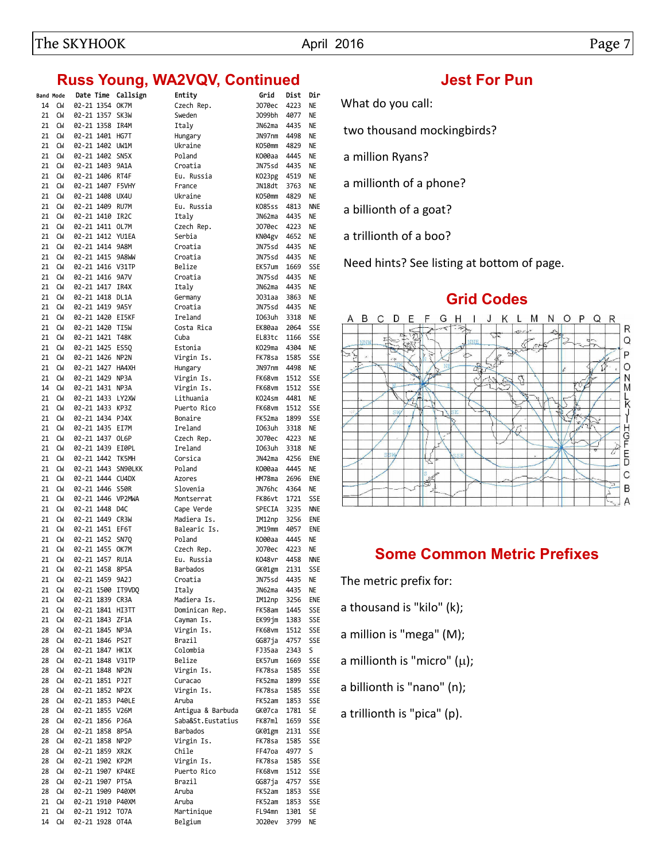## **Russ Young, WA2VQV, Continued Manufation Set For Pun**

|          | <b>Band Mode</b> | Date Time       | Callsign           | Entity             | Grid             | Dist         | Dir                      |
|----------|------------------|-----------------|--------------------|--------------------|------------------|--------------|--------------------------|
| 14       | CW               | 02-21 1354 OK7M |                    | Czech Rep.         | J070ec           | 4223         | ΝE                       |
| 21       | CW               | 02-21 1357 SK3W |                    | Sweden             | J099bh           | 4077         | NE                       |
| 21       | <b>CW</b>        | 02-21 1358 IR4M |                    | Italy              | JN62ma           | 4435         | <b>NE</b>                |
| 21       | <b>CW</b>        | 02-21 1401 HG7T |                    | Hungary            | JN97nm           | 4498         | <b>NE</b>                |
| 21       | <b>CW</b>        | 02-21 1402 UW1M |                    | Ukraine            | K050mm           | 4829         | <b>NE</b>                |
| 21       | <b>CW</b>        | 02-21 1402 SN5X |                    | Poland             | K000aa           | 4445         | <b>NE</b>                |
| 21       | <b>CW</b>        | 02-21 1403 9A1A |                    | Croatia            | JN75sd           | 4435         | NE                       |
| 21       | <b>CW</b>        | 02-21 1406 RT4F |                    | Eu. Russia         | K023pg           | 4519         | <b>NE</b>                |
| 21       | <b>CW</b>        |                 | 02-21 1407 F5VHY   | France             | JN18dt           | 3763         | NE                       |
| 21       | <b>CW</b>        | 02-21 1408 UX4U |                    | Ukraine            | KO50mm           | 4829         | <b>NE</b>                |
| 21       | <b>CW</b>        | 02-21 1409 RU7M |                    | Eu. Russia         | K085ss           | 4813         | <b>NNE</b>               |
| 21       | CW               | 02-21 1410 IR2C |                    | Italy              | JN62ma           | 4435         | NE                       |
| 21       | CW               | 02-21 1411 OL7M |                    | Czech Rep.         | J070ec           | 4223         | <b>NE</b>                |
| 21       | <b>CW</b>        |                 | 02-21 1412 YU1EA   | Serbia             | KN04gv           | 4652         | NE                       |
| 21       | <b>CW</b>        | 02-21 1414 9A8M |                    | Croatia            | JN75sd           | 4435         | NE                       |
| 21       | <b>CW</b>        |                 | 02-21 1415 9A8WW   | Croatia            | JN75sd           | 4435         | NE                       |
| 21       | <b>CW</b>        |                 | 02-21 1416 V31TP   | Belize             | EK57um           | 1669         | <b>SSE</b>               |
| 21       | CW               | 02-21 1416 9A7V |                    | Croatia            | JN75sd           | 4435         | NE                       |
| 21       | <b>CW</b>        | 02-21 1417 IR4X |                    | Italy              | JN62ma           | 4435         | <b>NE</b>                |
| 21       | <b>CM</b>        | 02-21 1418 DL1A |                    | Germany            | J031aa           | 3863         | NE                       |
| 21       | <b>CW</b>        | 02-21 1419 9A5Y | 02-21 1420 EI5KF   | Croatia            | JN75sd           | 4435         | ΝE                       |
| 21       | <b>CW</b>        | 02-21 1420 TI5W |                    | Ireland            | I063uh           | 3318         | NE                       |
| 21<br>21 | CW<br><b>CW</b>  | 02-21 1421 T48K |                    | Costa Rica<br>Cuba | EK80aa<br>EL83tc | 2064<br>1166 | <b>SSE</b><br><b>SSE</b> |
| 21       | CW               | 02-21 1425 ES50 |                    | Estonia            | KO29ma           | 4304         | ΝE                       |
| 21       | <b>CW</b>        | 02-21 1426 NP2N |                    | Virgin Is.         | FK78sa           | 1585         | <b>SSE</b>               |
| 21       | <b>CW</b>        |                 | 02-21 1427 HA4XH   | Hungary            | JN97nm           | 4498         | NE                       |
| 21       | <b>CW</b>        | 02-21 1429 NP3A |                    | Virgin Is.         | FK68vm           | 1512         | <b>SSE</b>               |
| 14       | CW               | 02-21 1431 NP3A |                    | Virgin Is.         | FK68vm           | 1512         | <b>SSE</b>               |
| 21       | <b>CW</b>        |                 | 02-21 1433 LY2XW   | Lithuania          | KO24sm           | 4481         | <b>NE</b>                |
| 21       | <b>CW</b>        | 02-21 1433 KP3Z |                    | Puerto Rico        | FK68vm           | 1512         | <b>SSE</b>               |
| 21       | <b>CW</b>        | 02-21 1434 PJ4X |                    | Bonaire            | FK52ma           | 1899         | <b>SSE</b>               |
| 21       | <b>CM</b>        | 02-21 1435 EI7M |                    | Ireland            | I063uh           | 3318         | NE                       |
| 21       | CW               | 02-21 1437 OL6P |                    | Czech Rep.         | J070ec           | 4223         | NE                       |
| 21       | <b>CW</b>        |                 | 02-21 1439 EI0PL   | Ireland            | I063uh           | 3318         | <b>NE</b>                |
| 21       | <b>CW</b>        |                 | 02-21 1442 TK5MH   | Corsica            | JN42ma           | 4256         | ENE                      |
| 21       | <b>CW</b>        |                 | 02-21 1443 SN90LKK | Poland             | K000aa           | 4445         | <b>NE</b>                |
| 21       | <b>CW</b>        |                 | 02-21 1444 CU4DX   | Azores             | HM78ma           | 2696         | ENE                      |
| 21       | <b>CW</b>        | 02-21 1446 S50R |                    | Slovenia           | JN76hc           | 4364         | <b>NE</b>                |
| 21       | <b>CW</b>        |                 | 02-21 1446 VP2MWA  | Montserrat         | FK86vt           | 1721         | <b>SSE</b>               |
| 21       | <b>CW</b>        | 02-21 1448 D4C  |                    | Cape Verde         | SPECIA           | 3235         | <b>NNE</b>               |
| 21       | <b>CW</b>        | 02-21 1449 CR3W |                    | Madiera Is.        | IM12np           | 3256         | ENE                      |
| 21       | CW               | 02-21 1451 EF6T |                    | Balearic Is.       | JM19mm           | 4057         | ENE                      |
| 21       | CW               | 02-21 1452 SN7Q |                    | Poland             | K000aa           | 4445         | NE                       |
| 21       | CW               | 02-21 1455 OK7M |                    | Czech Rep.         | J070ec           | 4223         | NE                       |
| 21       | CW               | 02-21 1457 RU1A |                    | Eu. Russia         | K048vr           | 4458         | <b>NNE</b>               |
| 21       | CW               | 02-21 1458      | 8P5A               | Barbados           | GK01gm           | 2131         | <b>SSE</b>               |
| 21       | CW               | 02-21 1459 9A2J |                    | Croatia            | JN75sd           | 4435         | NE                       |
| 21       | CW               |                 | 02-21 1500 IT9VDQ  | Italy              | JN62ma           | 4435         | NE                       |
| 21       | CW               | 02-21 1839 CR3A |                    | Madiera Is.        | IM12np           | 3256         | ENE                      |
| 21       | CW               |                 | 02-21 1841 HI3TT   | Dominican Rep.     | FK58am           | 1445         | <b>SSE</b>               |
| 21       | СW               | 02-21 1843 ZF1A |                    | Cayman Is.         | EK99jm           | 1383         | <b>SSE</b>               |
| 28       | CW               | 02-21 1845 NP3A |                    | Virgin Is.         | FK68vm           | 1512         | <b>SSE</b>               |
| 28       | CW               | 02-21 1846 PS2T |                    | Brazil             | GG87ja           | 4757         | <b>SSE</b>               |
| 28       | CW               | 02-21 1847 HK1X |                    | Colombia           | FJ35aa           | 2343         | S                        |
| 28       | CW               |                 | 02-21 1848 V31TP   | Belize             | EK57um           | 1669         | SSE                      |
| 28       | CW               | 02-21 1848 NP2N |                    | Virgin Is.         | FK78sa           | 1585         | <b>SSE</b>               |
| 28       | CW               | 02-21 1851 PJ2T |                    | Curacao            | FK52ma           | 1899         | <b>SSE</b>               |
| 28       | CW               | 02-21 1852 NP2X |                    | Virgin Is.         | FK78sa           | 1585         | <b>SSE</b>               |
| 28       | CW               |                 | 02-21 1853 P40LE   | Aruba              | FK52am           | 1853         | SSE                      |
| 28       | CW               | 02-21 1855 V26M |                    | Antigua & Barbuda  | GK07ca           | 1781         | SE                       |
| 28       | CW               | 02-21 1856 PJ6A |                    | Saba&St.Eustatius  | FK87ml           | 1659         | SSE                      |
| 28       | CW               | 02-21 1858 8P5A |                    | Barbados           | GK01gm           | 2131         | <b>SSE</b>               |
| 28       | CW               | 02-21 1858 NP2P |                    | Virgin Is.         | FK78sa           | 1585         | <b>SSE</b>               |
| 28       | CW               | 02-21 1859 XR2K |                    | Chile              | FF47oa           | 4977         | S                        |
| 28       | CW               | 02-21 1902 KP2M |                    | Virgin Is.         | FK78sa           | 1585         | <b>SSE</b>               |
| 28       | CW               |                 | 02-21 1907 KP4KE   | Puerto Rico        | FK68vm           | 1512         | <b>SSE</b>               |
| 28       | CW               | 02-21 1907 PT5A |                    | Brazil             | GG87ja           | 4757         | SSE                      |
| 28       | CW               |                 | 02-21 1909 P40XM   | Aruba              | FK52am           | 1853         | <b>SSE</b>               |
| 21       | CW               |                 | 02-21 1910 P40XM   | Aruba              | FK52am           | 1853         | SSE                      |
| 21       | CW               | 02-21 1912 TO7A |                    | Martinique         | FL94mn           | 1301         | SE                       |
| 14       | СW               | 02-21 1928 OT4A |                    | Belgium            | J020ev           | 3799         | NE                       |

What do you call:

two thousand mockingbirds?

a million Ryans?

a millionth of a phone?

a billionth of a goat?

a trillionth of a boo?

Need hints? See listing at bottom of page.

#### **Grid Codes**



## **Some Common Metric Prefixes**

The metric prefix for: a thousand is "kilo" (k); a million is "mega" (M); a millionth is "micro"  $(\mu)$ ; a billionth is "nano" (n); a trillionth is "pica" (p).